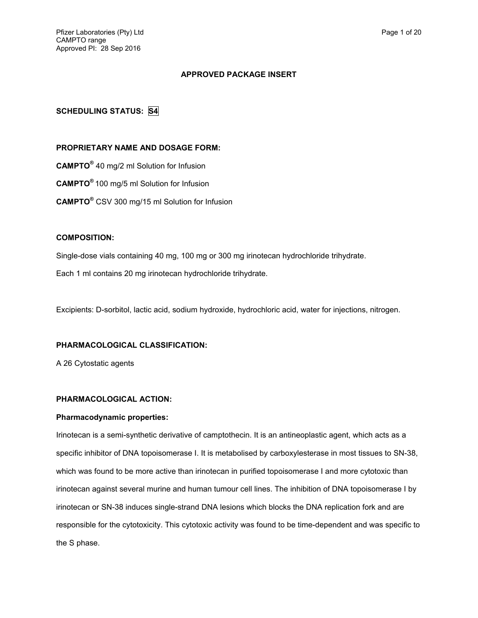## **APPROVED PACKAGE INSERT**

# **SCHEDULING STATUS: S4**

## **PROPRIETARY NAME AND DOSAGE FORM:**

**CAMPTO®** 40 mg/2 ml Solution for Infusion

**CAMPTO®** 100 mg/5 ml Solution for Infusion

**CAMPTO®** CSV 300 mg/15 ml Solution for Infusion

## **COMPOSITION:**

Single-dose vials containing 40 mg, 100 mg or 300 mg irinotecan hydrochloride trihydrate.

Each 1 ml contains 20 mg irinotecan hydrochloride trihydrate.

Excipients: D-sorbitol, lactic acid, sodium hydroxide, hydrochloric acid, water for injections, nitrogen.

## **PHARMACOLOGICAL CLASSIFICATION:**

A 26 Cytostatic agents

## **PHARMACOLOGICAL ACTION:**

## **Pharmacodynamic properties:**

Irinotecan is a semi-synthetic derivative of camptothecin. It is an antineoplastic agent, which acts as a specific inhibitor of DNA topoisomerase I. It is metabolised by carboxylesterase in most tissues to SN-38, which was found to be more active than irinotecan in purified topoisomerase I and more cytotoxic than irinotecan against several murine and human tumour cell lines. The inhibition of DNA topoisomerase I by irinotecan or SN-38 induces single-strand DNA lesions which blocks the DNA replication fork and are responsible for the cytotoxicity. This cytotoxic activity was found to be time-dependent and was specific to the S phase.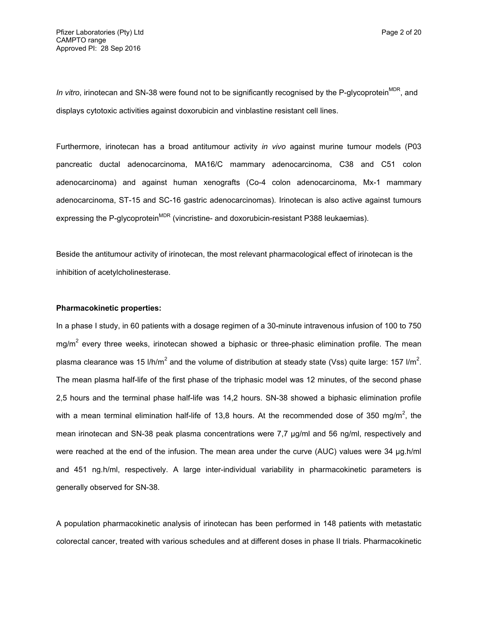*In vitro*, irinotecan and SN-38 were found not to be significantly recognised by the P-glycoprotein<sup>MDR</sup>, and displays cytotoxic activities against doxorubicin and vinblastine resistant cell lines.

Furthermore, irinotecan has a broad antitumour activity *in vivo* against murine tumour models (P03 pancreatic ductal adenocarcinoma, MA16/C mammary adenocarcinoma, C38 and C51 colon adenocarcinoma) and against human xenografts (Co-4 colon adenocarcinoma, Mx-1 mammary adenocarcinoma, ST-15 and SC-16 gastric adenocarcinomas). Irinotecan is also active against tumours expressing the P-glycoprotein<sup>MDR</sup> (vincristine- and doxorubicin-resistant P388 leukaemias).

Beside the antitumour activity of irinotecan, the most relevant pharmacological effect of irinotecan is the inhibition of acetylcholinesterase.

#### **Pharmacokinetic properties:**

In a phase I study, in 60 patients with a dosage regimen of a 30-minute intravenous infusion of 100 to 750 mg/m<sup>2</sup> every three weeks, irinotecan showed a biphasic or three-phasic elimination profile. The mean plasma clearance was 15 l/h/m<sup>2</sup> and the volume of distribution at steady state (Vss) quite large: 157 l/m<sup>2</sup>. The mean plasma half-life of the first phase of the triphasic model was 12 minutes, of the second phase 2,5 hours and the terminal phase half-life was 14,2 hours. SN-38 showed a biphasic elimination profile with a mean terminal elimination half-life of 13,8 hours. At the recommended dose of 350 mg/m<sup>2</sup>, the mean irinotecan and SN-38 peak plasma concentrations were 7,7 µg/ml and 56 ng/ml, respectively and were reached at the end of the infusion. The mean area under the curve (AUC) values were 34 µg.h/ml and 451 ng.h/ml, respectively. A large inter-individual variability in pharmacokinetic parameters is generally observed for SN-38.

A population pharmacokinetic analysis of irinotecan has been performed in 148 patients with metastatic colorectal cancer, treated with various schedules and at different doses in phase II trials. Pharmacokinetic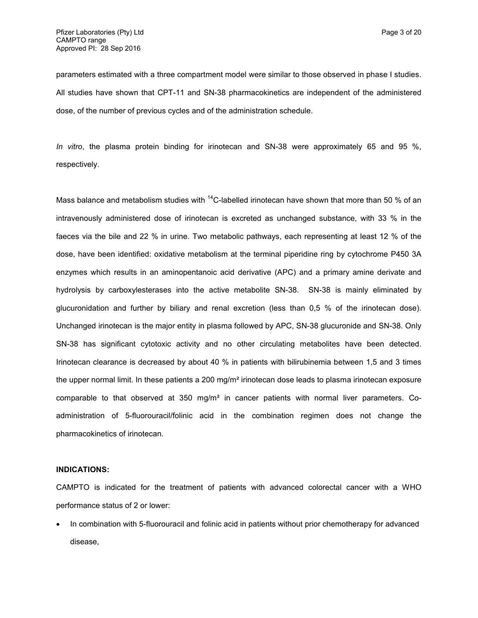parameters estimated with a three compartment model were similar to those observed in phase I studies. All studies have shown that CPT-11 and SN-38 pharmacokinetics are independent of the administered dose, of the number of previous cycles and of the administration schedule.

*In vitro*, the plasma protein binding for irinotecan and SN-38 were approximately 65 and 95 %, respectively.

Mass balance and metabolism studies with  $^{14}$ C-labelled irinotecan have shown that more than 50 % of an intravenously administered dose of irinotecan is excreted as unchanged substance, with 33 % in the faeces via the bile and 22 % in urine. Two metabolic pathways, each representing at least 12 % of the dose, have been identified: oxidative metabolism at the terminal piperidine ring by cytochrome P450 3A enzymes which results in an aminopentanoic acid derivative (APC) and a primary amine derivate and hydrolysis by carboxylesterases into the active metabolite SN-38. SN-38 is mainly eliminated by glucuronidation and further by biliary and renal excretion (less than 0,5 % of the irinotecan dose). Unchanged irinotecan is the major entity in plasma followed by APC, SN-38 glucuronide and SN-38. Only SN-38 has significant cytotoxic activity and no other circulating metabolites have been detected. Irinotecan clearance is decreased by about 40 % in patients with bilirubinemia between 1,5 and 3 times the upper normal limit. In these patients a 200 mg/m<sup>2</sup> irinotecan dose leads to plasma irinotecan exposure comparable to that observed at  $350 \, \text{mg/m}^2$  in cancer patients with normal liver parameters. Coadministration of 5-fluorouracil/folinic acid in the combination regimen does not change the pharmacokinetics of irinotecan.

#### **INDICATIONS:**

CAMPTO is indicated for the treatment of patients with advanced colorectal cancer with a WHO performance status of 2 or lower:

 In combination with 5-fluorouracil and folinic acid in patients without prior chemotherapy for advanced disease,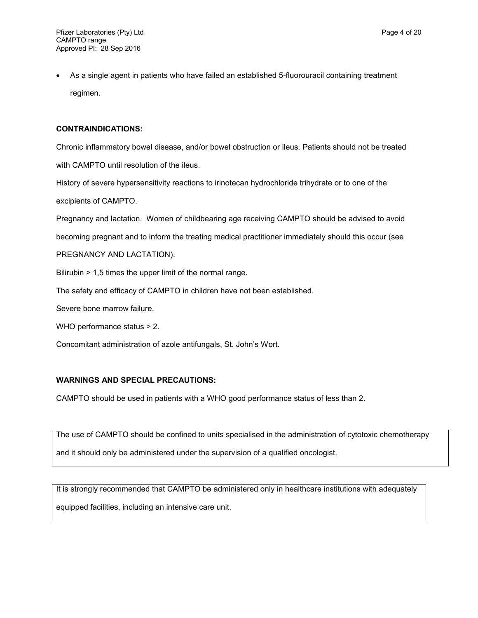As a single agent in patients who have failed an established 5-fluorouracil containing treatment regimen.

# **CONTRAINDICATIONS:**

Chronic inflammatory bowel disease, and/or bowel obstruction or ileus. Patients should not be treated with CAMPTO until resolution of the ileus.

History of severe hypersensitivity reactions to irinotecan hydrochloride trihydrate or to one of the excipients of CAMPTO.

Pregnancy and lactation. Women of childbearing age receiving CAMPTO should be advised to avoid

becoming pregnant and to inform the treating medical practitioner immediately should this occur (see

PREGNANCY AND LACTATION).

Bilirubin > 1,5 times the upper limit of the normal range.

The safety and efficacy of CAMPTO in children have not been established.

Severe bone marrow failure.

WHO performance status > 2.

Concomitant administration of azole antifungals, St. John's Wort.

# **WARNINGS AND SPECIAL PRECAUTIONS:**

CAMPTO should be used in patients with a WHO good performance status of less than 2.

The use of CAMPTO should be confined to units specialised in the administration of cytotoxic chemotherapy

and it should only be administered under the supervision of a qualified oncologist.

It is strongly recommended that CAMPTO be administered only in healthcare institutions with adequately equipped facilities, including an intensive care unit.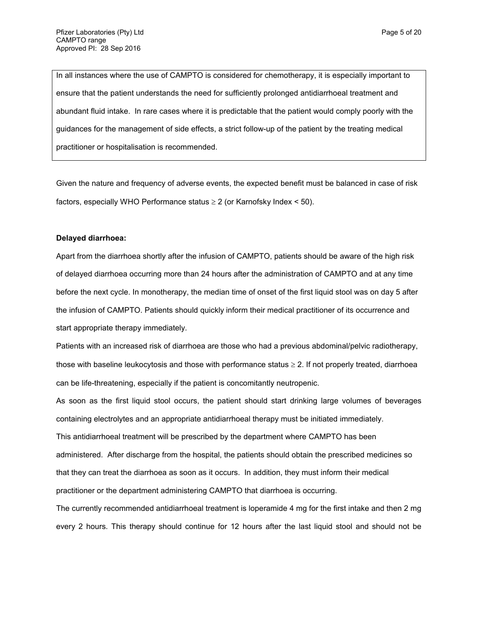In all instances where the use of CAMPTO is considered for chemotherapy, it is especially important to ensure that the patient understands the need for sufficiently prolonged antidiarrhoeal treatment and abundant fluid intake. In rare cases where it is predictable that the patient would comply poorly with the guidances for the management of side effects, a strict follow-up of the patient by the treating medical practitioner or hospitalisation is recommended.

Given the nature and frequency of adverse events, the expected benefit must be balanced in case of risk factors, especially WHO Performance status  $\geq 2$  (or Karnofsky Index < 50).

#### **Delayed diarrhoea:**

Apart from the diarrhoea shortly after the infusion of CAMPTO, patients should be aware of the high risk of delayed diarrhoea occurring more than 24 hours after the administration of CAMPTO and at any time before the next cycle. In monotherapy, the median time of onset of the first liquid stool was on day 5 after the infusion of CAMPTO. Patients should quickly inform their medical practitioner of its occurrence and start appropriate therapy immediately.

Patients with an increased risk of diarrhoea are those who had a previous abdominal/pelvic radiotherapy, those with baseline leukocytosis and those with performance status  $\geq 2$ . If not properly treated, diarrhoea can be life-threatening, especially if the patient is concomitantly neutropenic.

As soon as the first liquid stool occurs, the patient should start drinking large volumes of beverages containing electrolytes and an appropriate antidiarrhoeal therapy must be initiated immediately.

This antidiarrhoeal treatment will be prescribed by the department where CAMPTO has been administered. After discharge from the hospital, the patients should obtain the prescribed medicines so that they can treat the diarrhoea as soon as it occurs. In addition, they must inform their medical practitioner or the department administering CAMPTO that diarrhoea is occurring.

The currently recommended antidiarrhoeal treatment is loperamide 4 mg for the first intake and then 2 mg every 2 hours. This therapy should continue for 12 hours after the last liquid stool and should not be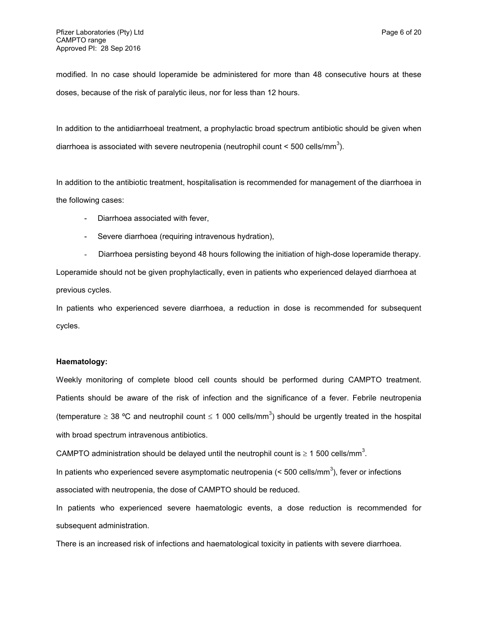modified. In no case should loperamide be administered for more than 48 consecutive hours at these doses, because of the risk of paralytic ileus, nor for less than 12 hours.

In addition to the antidiarrhoeal treatment, a prophylactic broad spectrum antibiotic should be given when diarrhoea is associated with severe neutropenia (neutrophil count < 500 cells/mm<sup>3</sup>).

In addition to the antibiotic treatment, hospitalisation is recommended for management of the diarrhoea in the following cases:

- Diarrhoea associated with fever,
- Severe diarrhoea (requiring intravenous hydration),
- Diarrhoea persisting beyond 48 hours following the initiation of high-dose loperamide therapy.

Loperamide should not be given prophylactically, even in patients who experienced delayed diarrhoea at previous cycles.

In patients who experienced severe diarrhoea, a reduction in dose is recommended for subsequent cycles.

## **Haematology:**

Weekly monitoring of complete blood cell counts should be performed during CAMPTO treatment. Patients should be aware of the risk of infection and the significance of a fever. Febrile neutropenia (temperature  $\geq 38$  °C and neutrophil count  $\leq 1$  000 cells/mm<sup>3</sup>) should be urgently treated in the hospital with broad spectrum intravenous antibiotics.

CAMPTO administration should be delayed until the neutrophil count is  $\geq 1$  500 cells/mm<sup>3</sup>.

In patients who experienced severe asymptomatic neutropenia ( $<$  500 cells/mm<sup>3</sup>), fever or infections

associated with neutropenia, the dose of CAMPTO should be reduced.

In patients who experienced severe haematologic events, a dose reduction is recommended for subsequent administration.

There is an increased risk of infections and haematological toxicity in patients with severe diarrhoea.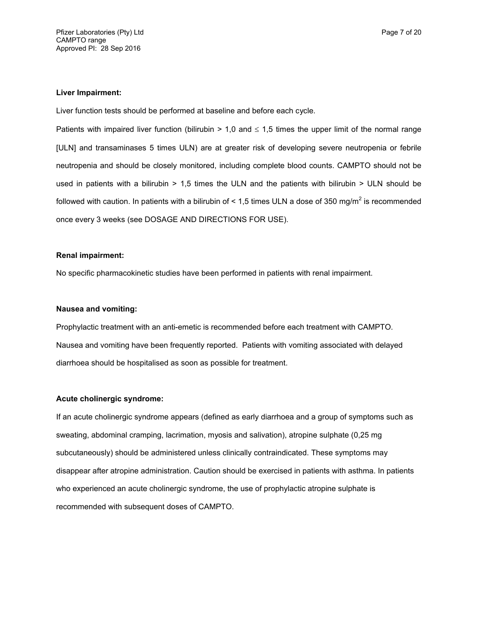#### **Liver Impairment:**

Liver function tests should be performed at baseline and before each cycle.

Patients with impaired liver function (bilirubin  $> 1,0$  and  $\leq 1,5$  times the upper limit of the normal range [ULN] and transaminases 5 times ULN) are at greater risk of developing severe neutropenia or febrile neutropenia and should be closely monitored, including complete blood counts. CAMPTO should not be used in patients with a bilirubin  $> 1.5$  times the ULN and the patients with bilirubin  $>$  ULN should be followed with caution. In patients with a bilirubin of < 1,5 times ULN a dose of 350 mg/m<sup>2</sup> is recommended once every 3 weeks (see DOSAGE AND DIRECTIONS FOR USE).

#### **Renal impairment:**

No specific pharmacokinetic studies have been performed in patients with renal impairment.

### **Nausea and vomiting:**

Prophylactic treatment with an anti-emetic is recommended before each treatment with CAMPTO. Nausea and vomiting have been frequently reported. Patients with vomiting associated with delayed diarrhoea should be hospitalised as soon as possible for treatment.

### **Acute cholinergic syndrome:**

If an acute cholinergic syndrome appears (defined as early diarrhoea and a group of symptoms such as sweating, abdominal cramping, lacrimation, myosis and salivation), atropine sulphate (0,25 mg subcutaneously) should be administered unless clinically contraindicated. These symptoms may disappear after atropine administration. Caution should be exercised in patients with asthma. In patients who experienced an acute cholinergic syndrome, the use of prophylactic atropine sulphate is recommended with subsequent doses of CAMPTO.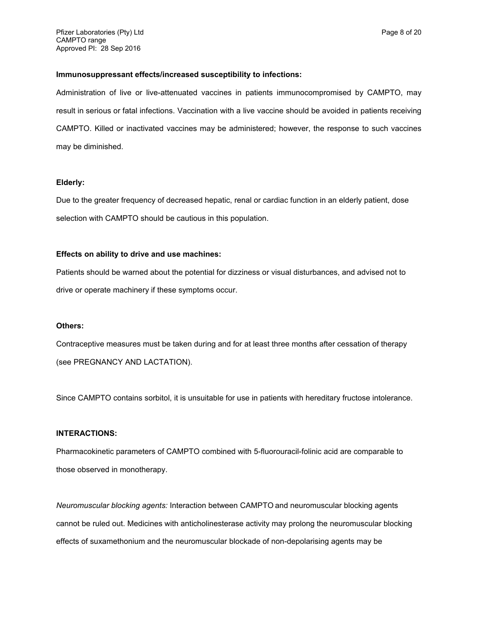#### **Immunosuppressant effects/increased susceptibility to infections:**

Administration of live or live-attenuated vaccines in patients immunocompromised by CAMPTO, may result in serious or fatal infections. Vaccination with a live vaccine should be avoided in patients receiving CAMPTO. Killed or inactivated vaccines may be administered; however, the response to such vaccines may be diminished.

### **Elderly:**

Due to the greater frequency of decreased hepatic, renal or cardiac function in an elderly patient, dose selection with CAMPTO should be cautious in this population.

### **Effects on ability to drive and use machines:**

Patients should be warned about the potential for dizziness or visual disturbances, and advised not to drive or operate machinery if these symptoms occur.

#### **Others:**

Contraceptive measures must be taken during and for at least three months after cessation of therapy (see PREGNANCY AND LACTATION).

Since CAMPTO contains sorbitol, it is unsuitable for use in patients with hereditary fructose intolerance.

## **INTERACTIONS:**

Pharmacokinetic parameters of CAMPTO combined with 5-fluorouracil-folinic acid are comparable to those observed in monotherapy.

*Neuromuscular blocking agents:* Interaction between CAMPTO and neuromuscular blocking agents cannot be ruled out. Medicines with anticholinesterase activity may prolong the neuromuscular blocking effects of suxamethonium and the neuromuscular blockade of non-depolarising agents may be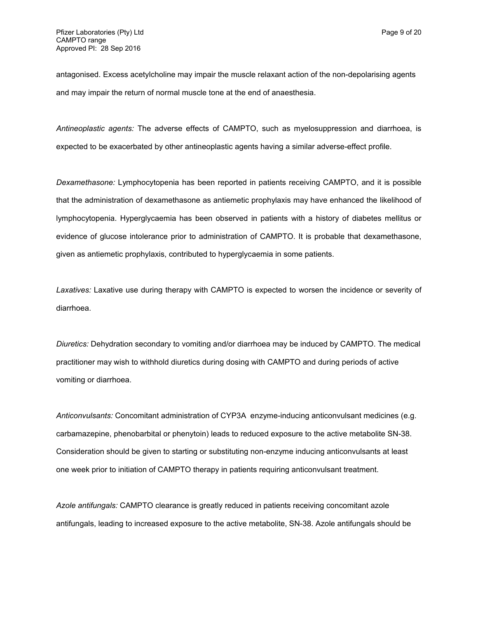antagonised. Excess acetylcholine may impair the muscle relaxant action of the non-depolarising agents and may impair the return of normal muscle tone at the end of anaesthesia.

*Antineoplastic agents:* The adverse effects of CAMPTO, such as myelosuppression and diarrhoea, is expected to be exacerbated by other antineoplastic agents having a similar adverse-effect profile.

*Dexamethasone:* Lymphocytopenia has been reported in patients receiving CAMPTO, and it is possible that the administration of dexamethasone as antiemetic prophylaxis may have enhanced the likelihood of lymphocytopenia. Hyperglycaemia has been observed in patients with a history of diabetes mellitus or evidence of glucose intolerance prior to administration of CAMPTO. It is probable that dexamethasone, given as antiemetic prophylaxis, contributed to hyperglycaemia in some patients.

*Laxatives:* Laxative use during therapy with CAMPTO is expected to worsen the incidence or severity of diarrhoea.

*Diuretics:* Dehydration secondary to vomiting and/or diarrhoea may be induced by CAMPTO. The medical practitioner may wish to withhold diuretics during dosing with CAMPTO and during periods of active vomiting or diarrhoea.

*Anticonvulsants:* Concomitant administration of CYP3A enzyme-inducing anticonvulsant medicines (e.g. carbamazepine, phenobarbital or phenytoin) leads to reduced exposure to the active metabolite SN-38. Consideration should be given to starting or substituting non-enzyme inducing anticonvulsants at least one week prior to initiation of CAMPTO therapy in patients requiring anticonvulsant treatment.

*Azole antifungals:* CAMPTO clearance is greatly reduced in patients receiving concomitant azole antifungals, leading to increased exposure to the active metabolite, SN-38. Azole antifungals should be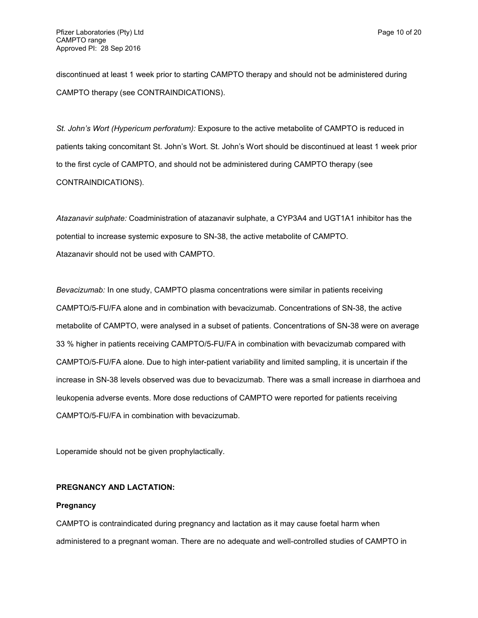discontinued at least 1 week prior to starting CAMPTO therapy and should not be administered during CAMPTO therapy (see CONTRAINDICATIONS).

*St. John's Wort (Hypericum perforatum):* Exposure to the active metabolite of CAMPTO is reduced in patients taking concomitant St. John's Wort. St. John's Wort should be discontinued at least 1 week prior to the first cycle of CAMPTO, and should not be administered during CAMPTO therapy (see CONTRAINDICATIONS).

*Atazanavir sulphate:* Coadministration of atazanavir sulphate, a CYP3A4 and UGT1A1 inhibitor has the potential to increase systemic exposure to SN-38, the active metabolite of CAMPTO. Atazanavir should not be used with CAMPTO.

*Bevacizumab:* In one study, CAMPTO plasma concentrations were similar in patients receiving CAMPTO/5-FU/FA alone and in combination with bevacizumab. Concentrations of SN-38, the active metabolite of CAMPTO, were analysed in a subset of patients. Concentrations of SN-38 were on average 33 % higher in patients receiving CAMPTO/5-FU/FA in combination with bevacizumab compared with CAMPTO/5-FU/FA alone. Due to high inter-patient variability and limited sampling, it is uncertain if the increase in SN-38 levels observed was due to bevacizumab. There was a small increase in diarrhoea and leukopenia adverse events. More dose reductions of CAMPTO were reported for patients receiving CAMPTO/5-FU/FA in combination with bevacizumab.

Loperamide should not be given prophylactically.

## **PREGNANCY AND LACTATION:**

#### **Pregnancy**

CAMPTO is contraindicated during pregnancy and lactation as it may cause foetal harm when administered to a pregnant woman. There are no adequate and well-controlled studies of CAMPTO in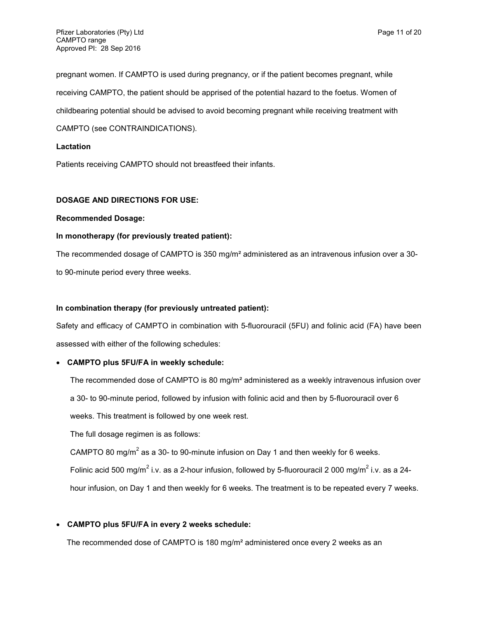pregnant women. If CAMPTO is used during pregnancy, or if the patient becomes pregnant, while receiving CAMPTO, the patient should be apprised of the potential hazard to the foetus. Women of childbearing potential should be advised to avoid becoming pregnant while receiving treatment with CAMPTO (see CONTRAINDICATIONS).

## **Lactation**

Patients receiving CAMPTO should not breastfeed their infants.

## **DOSAGE AND DIRECTIONS FOR USE:**

### **Recommended Dosage:**

## **In monotherapy (for previously treated patient):**

The recommended dosage of CAMPTO is 350 mg/m² administered as an intravenous infusion over a 30 to 90-minute period every three weeks.

## **In combination therapy (for previously untreated patient):**

Safety and efficacy of CAMPTO in combination with 5-fluorouracil (5FU) and folinic acid (FA) have been assessed with either of the following schedules:

## **CAMPTO plus 5FU/FA in weekly schedule:**

The recommended dose of CAMPTO is 80 mg/m<sup>2</sup> administered as a weekly intravenous infusion over a 30- to 90-minute period, followed by infusion with folinic acid and then by 5-fluorouracil over 6

weeks. This treatment is followed by one week rest.

The full dosage regimen is as follows:

CAMPTO 80 mg/m<sup>2</sup> as a 30- to 90-minute infusion on Day 1 and then weekly for 6 weeks.

Folinic acid 500 mg/m<sup>2</sup> i.v. as a 2-hour infusion, followed by 5-fluorouracil 2 000 mg/m<sup>2</sup> i.v. as a 24-

hour infusion, on Day 1 and then weekly for 6 weeks. The treatment is to be repeated every 7 weeks.

## **CAMPTO plus 5FU/FA in every 2 weeks schedule:**

The recommended dose of CAMPTO is 180 mg/m² administered once every 2 weeks as an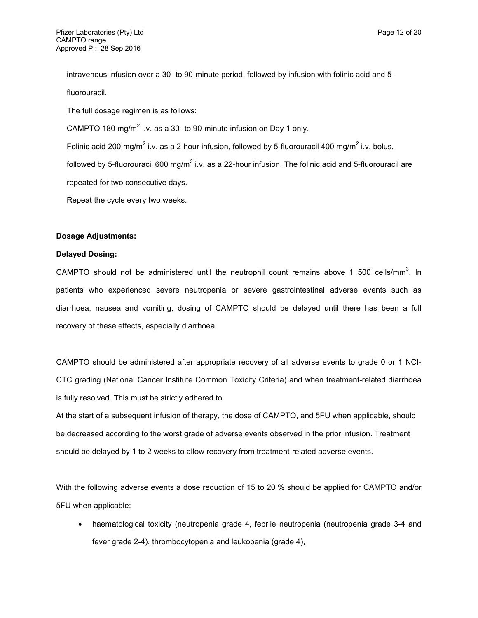intravenous infusion over a 30- to 90-minute period, followed by infusion with folinic acid and 5-

fluorouracil.

The full dosage regimen is as follows:

CAMPTO 180 mg/m<sup>2</sup> i.v. as a 30- to 90-minute infusion on Day 1 only.

Folinic acid 200 mg/m<sup>2</sup> i.v. as a 2-hour infusion, followed by 5-fluorouracil 400 mg/m<sup>2</sup> i.v. bolus,

followed by 5-fluorouracil 600 mg/m<sup>2</sup> i.v. as a 22-hour infusion. The folinic acid and 5-fluorouracil are repeated for two consecutive days.

Repeat the cycle every two weeks.

## **Dosage Adjustments:**

## **Delayed Dosing:**

CAMPTO should not be administered until the neutrophil count remains above 1 500 cells/mm<sup>3</sup>. In patients who experienced severe neutropenia or severe gastrointestinal adverse events such as diarrhoea, nausea and vomiting, dosing of CAMPTO should be delayed until there has been a full recovery of these effects, especially diarrhoea.

CAMPTO should be administered after appropriate recovery of all adverse events to grade 0 or 1 NCI-CTC grading (National Cancer Institute Common Toxicity Criteria) and when treatment-related diarrhoea is fully resolved. This must be strictly adhered to.

At the start of a subsequent infusion of therapy, the dose of CAMPTO, and 5FU when applicable, should be decreased according to the worst grade of adverse events observed in the prior infusion. Treatment should be delayed by 1 to 2 weeks to allow recovery from treatment-related adverse events.

With the following adverse events a dose reduction of 15 to 20 % should be applied for CAMPTO and/or 5FU when applicable:

 haematological toxicity (neutropenia grade 4, febrile neutropenia (neutropenia grade 3-4 and fever grade 2-4), thrombocytopenia and leukopenia (grade 4),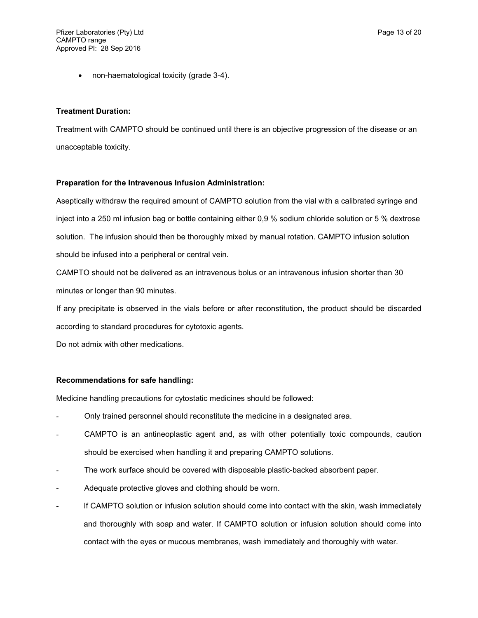non-haematological toxicity (grade 3-4).

## **Treatment Duration:**

Treatment with CAMPTO should be continued until there is an objective progression of the disease or an unacceptable toxicity.

## **Preparation for the Intravenous Infusion Administration:**

Aseptically withdraw the required amount of CAMPTO solution from the vial with a calibrated syringe and inject into a 250 ml infusion bag or bottle containing either 0,9 % sodium chloride solution or 5 % dextrose solution. The infusion should then be thoroughly mixed by manual rotation. CAMPTO infusion solution should be infused into a peripheral or central vein.

CAMPTO should not be delivered as an intravenous bolus or an intravenous infusion shorter than 30 minutes or longer than 90 minutes.

If any precipitate is observed in the vials before or after reconstitution, the product should be discarded according to standard procedures for cytotoxic agents.

Do not admix with other medications.

## **Recommendations for safe handling:**

Medicine handling precautions for cytostatic medicines should be followed:

- Only trained personnel should reconstitute the medicine in a designated area.
- CAMPTO is an antineoplastic agent and, as with other potentially toxic compounds, caution should be exercised when handling it and preparing CAMPTO solutions.
- The work surface should be covered with disposable plastic-backed absorbent paper.
- Adequate protective gloves and clothing should be worn.
- If CAMPTO solution or infusion solution should come into contact with the skin, wash immediately and thoroughly with soap and water. If CAMPTO solution or infusion solution should come into contact with the eyes or mucous membranes, wash immediately and thoroughly with water.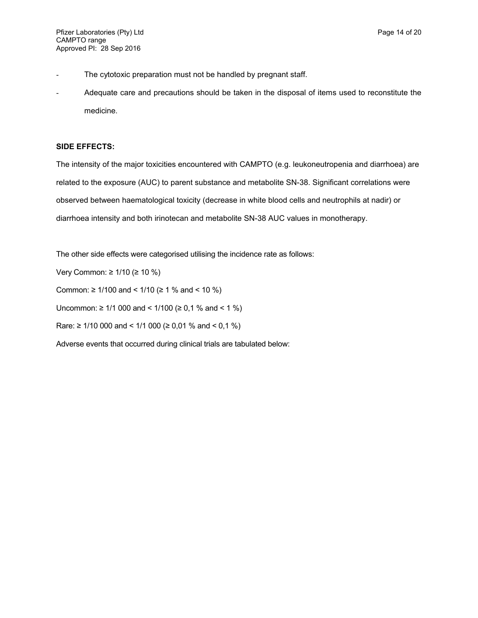- The cytotoxic preparation must not be handled by pregnant staff.
- Adequate care and precautions should be taken in the disposal of items used to reconstitute the medicine.

## **SIDE EFFECTS:**

The intensity of the major toxicities encountered with CAMPTO (e.g. leukoneutropenia and diarrhoea) are related to the exposure (AUC) to parent substance and metabolite SN-38. Significant correlations were observed between haematological toxicity (decrease in white blood cells and neutrophils at nadir) or diarrhoea intensity and both irinotecan and metabolite SN-38 AUC values in monotherapy.

The other side effects were categorised utilising the incidence rate as follows:

Very Common: ≥ 1/10 (≥ 10 %) Common: ≥ 1/100 and < 1/10 (≥ 1 % and < 10 %) Uncommon: ≥ 1/1 000 and < 1/100 (≥ 0,1 % and < 1 %) Rare: ≥ 1/10 000 and < 1/1 000 (≥ 0,01 % and < 0,1 %) Adverse events that occurred during clinical trials are tabulated below: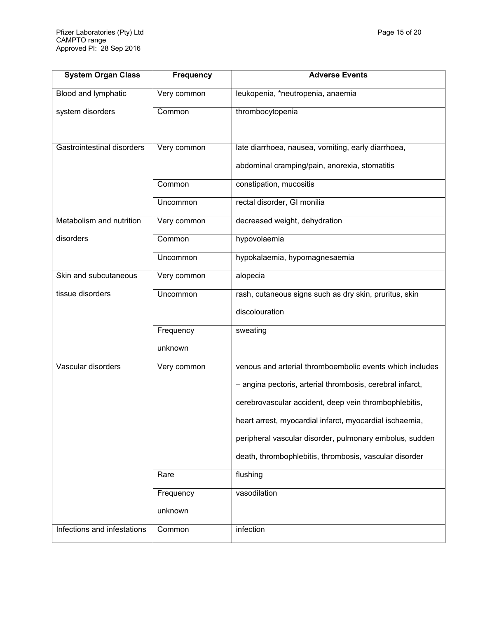| <b>System Organ Class</b>   | <b>Frequency</b> | <b>Adverse Events</b>                                     |
|-----------------------------|------------------|-----------------------------------------------------------|
| Blood and lymphatic         | Very common      | leukopenia, *neutropenia, anaemia                         |
| system disorders            | Common           | thrombocytopenia                                          |
| Gastrointestinal disorders  | Very common      | late diarrhoea, nausea, vomiting, early diarrhoea,        |
|                             |                  | abdominal cramping/pain, anorexia, stomatitis             |
|                             | Common           | constipation, mucositis                                   |
|                             | Uncommon         | rectal disorder, GI monilia                               |
| Metabolism and nutrition    | Very common      | decreased weight, dehydration                             |
| disorders                   | Common           | hypovolaemia                                              |
|                             | Uncommon         | hypokalaemia, hypomagnesaemia                             |
| Skin and subcutaneous       | Very common      | alopecia                                                  |
| tissue disorders            | Uncommon         | rash, cutaneous signs such as dry skin, pruritus, skin    |
|                             |                  | discolouration                                            |
|                             | Frequency        | sweating                                                  |
|                             | unknown          |                                                           |
| Vascular disorders          | Very common      | venous and arterial thromboembolic events which includes  |
|                             |                  | - angina pectoris, arterial thrombosis, cerebral infarct, |
|                             |                  | cerebrovascular accident, deep vein thrombophlebitis,     |
|                             |                  | heart arrest, myocardial infarct, myocardial ischaemia,   |
|                             |                  | peripheral vascular disorder, pulmonary embolus, sudden   |
|                             |                  | death, thrombophlebitis, thrombosis, vascular disorder    |
|                             | Rare             | flushing                                                  |
|                             | Frequency        | vasodilation                                              |
|                             | unknown          |                                                           |
| Infections and infestations | Common           | infection                                                 |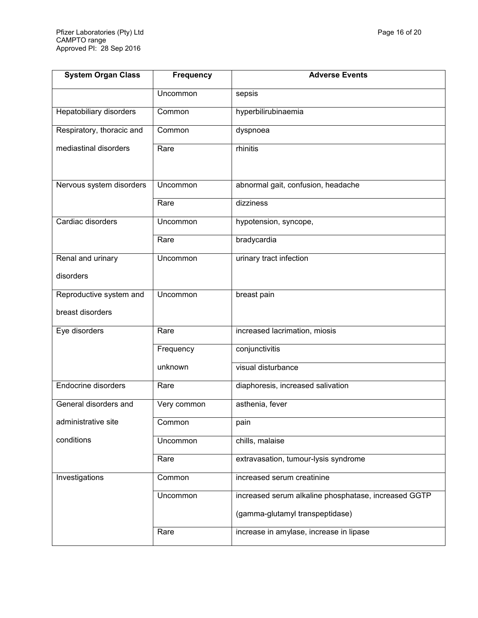| <b>System Organ Class</b>      | <b>Frequency</b> | <b>Adverse Events</b>                                |  |
|--------------------------------|------------------|------------------------------------------------------|--|
|                                | Uncommon         | sepsis                                               |  |
| <b>Hepatobiliary disorders</b> | Common           | hyperbilirubinaemia                                  |  |
| Respiratory, thoracic and      | Common           | dyspnoea                                             |  |
| mediastinal disorders          | Rare             | rhinitis                                             |  |
|                                |                  |                                                      |  |
| Nervous system disorders       | Uncommon         | abnormal gait, confusion, headache                   |  |
|                                | Rare             | dizziness                                            |  |
| Cardiac disorders              | Uncommon         | hypotension, syncope,                                |  |
|                                | Rare             | bradycardia                                          |  |
| Renal and urinary              | Uncommon         | urinary tract infection                              |  |
| disorders                      |                  |                                                      |  |
| Reproductive system and        | Uncommon         | breast pain                                          |  |
| breast disorders               |                  |                                                      |  |
| Eye disorders                  | Rare             | increased lacrimation, miosis                        |  |
|                                | Frequency        | conjunctivitis                                       |  |
|                                | unknown          | visual disturbance                                   |  |
| <b>Endocrine disorders</b>     | Rare             | diaphoresis, increased salivation                    |  |
| General disorders and          | Very common      | asthenia, fever                                      |  |
| administrative site            | Common           | pain                                                 |  |
| conditions                     | Uncommon         | chills, malaise                                      |  |
|                                | Rare             | extravasation, tumour-lysis syndrome                 |  |
| Investigations                 | Common           | increased serum creatinine                           |  |
|                                | <b>Uncommon</b>  | increased serum alkaline phosphatase, increased GGTP |  |
|                                |                  | (gamma-glutamyl transpeptidase)                      |  |
|                                | Rare             | increase in amylase, increase in lipase              |  |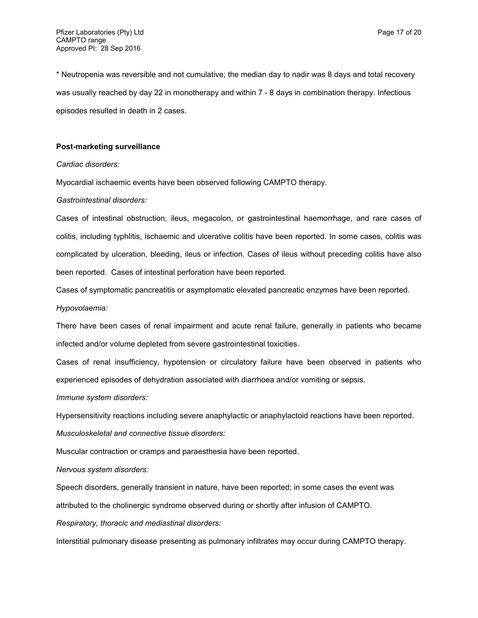\* Neutropenia was reversible and not cumulative; the median day to nadir was 8 days and total recovery was usually reached by day 22 in monotherapy and within 7 - 8 days in combination therapy. Infectious episodes resulted in death in 2 cases.

### **Post-marketing surveillance**

#### *Cardiac disorders:*

Myocardial ischaemic events have been observed following CAMPTO therapy.

#### *Gastrointestinal disorders:*

Cases of intestinal obstruction, ileus, megacolon, or gastrointestinal haemorrhage, and rare cases of colitis, including typhlitis, ischaemic and ulcerative colitis have been reported. In some cases, colitis was complicated by ulceration, bleeding, ileus or infection. Cases of ileus without preceding colitis have also been reported. Cases of intestinal perforation have been reported.

Cases of symptomatic pancreatitis or asymptomatic elevated pancreatic enzymes have been reported.

### *Hypovolaemia:*

There have been cases of renal impairment and acute renal failure, generally in patients who became infected and/or volume depleted from severe gastrointestinal toxicities.

Cases of renal insufficiency, hypotension or circulatory failure have been observed in patients who experienced episodes of dehydration associated with diarrhoea and/or vomiting or sepsis.

*Immune system disorders:*

Hypersensitivity reactions including severe anaphylactic or anaphylactoid reactions have been reported.

*Musculoskeletal and connective tissue disorders:*

Muscular contraction or cramps and paraesthesia have been reported.

*Nervous system disorders:*

Speech disorders, generally transient in nature, have been reported; in some cases the event was attributed to the cholinergic syndrome observed during or shortly after infusion of CAMPTO.

*Respiratory, thoracic and mediastinal disorders:*

Interstitial pulmonary disease presenting as pulmonary infiltrates may occur during CAMPTO therapy.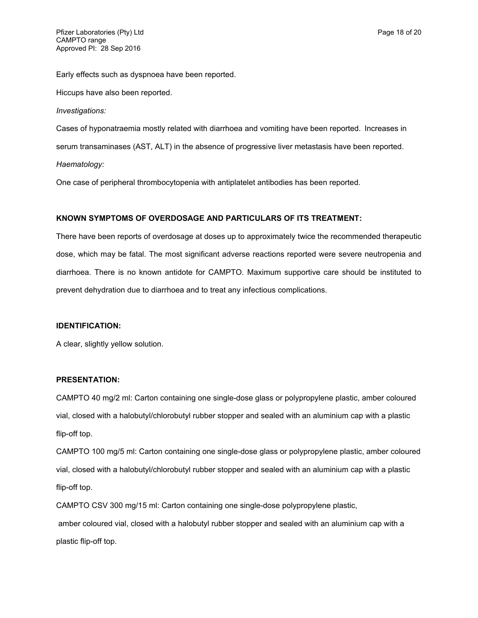Early effects such as dyspnoea have been reported.

Hiccups have also been reported.

#### *Investigations:*

Cases of hyponatraemia mostly related with diarrhoea and vomiting have been reported. Increases in serum transaminases (AST, ALT) in the absence of progressive liver metastasis have been reported. *Haematology:*

One case of peripheral thrombocytopenia with antiplatelet antibodies has been reported.

## **KNOWN SYMPTOMS OF OVERDOSAGE AND PARTICULARS OF ITS TREATMENT:**

There have been reports of overdosage at doses up to approximately twice the recommended therapeutic dose, which may be fatal. The most significant adverse reactions reported were severe neutropenia and diarrhoea. There is no known antidote for CAMPTO. Maximum supportive care should be instituted to prevent dehydration due to diarrhoea and to treat any infectious complications.

#### **IDENTIFICATION:**

A clear, slightly yellow solution.

### **PRESENTATION:**

CAMPTO 40 mg/2 ml: Carton containing one single-dose glass or polypropylene plastic, amber coloured vial, closed with a halobutyl/chlorobutyl rubber stopper and sealed with an aluminium cap with a plastic flip-off top.

CAMPTO 100 mg/5 ml: Carton containing one single-dose glass or polypropylene plastic, amber coloured vial, closed with a halobutyl/chlorobutyl rubber stopper and sealed with an aluminium cap with a plastic flip-off top.

CAMPTO CSV 300 mg/15 ml: Carton containing one single-dose polypropylene plastic,

amber coloured vial, closed with a halobutyl rubber stopper and sealed with an aluminium cap with a plastic flip-off top.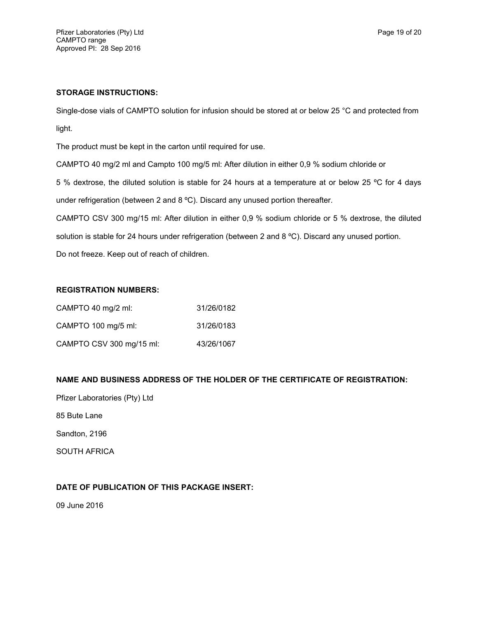## **STORAGE INSTRUCTIONS:**

Single-dose vials of CAMPTO solution for infusion should be stored at or below 25 °C and protected from light.

The product must be kept in the carton until required for use.

CAMPTO 40 mg/2 ml and Campto 100 mg/5 ml: After dilution in either 0,9 % sodium chloride or

5 % dextrose, the diluted solution is stable for 24 hours at a temperature at or below 25 ºC for 4 days under refrigeration (between 2 and 8 °C). Discard any unused portion thereafter.

CAMPTO CSV 300 mg/15 ml: After dilution in either 0,9 % sodium chloride or 5 % dextrose, the diluted solution is stable for 24 hours under refrigeration (between 2 and 8 °C). Discard any unused portion.

Do not freeze. Keep out of reach of children.

## **REGISTRATION NUMBERS:**

| CAMPTO 40 mg/2 ml:       | 31/26/0182 |
|--------------------------|------------|
| CAMPTO 100 mg/5 ml:      | 31/26/0183 |
| CAMPTO CSV 300 mg/15 ml: | 43/26/1067 |

## **NAME AND BUSINESS ADDRESS OF THE HOLDER OF THE CERTIFICATE OF REGISTRATION:**

Pfizer Laboratories (Pty) Ltd

85 Bute Lane

Sandton, 2196

SOUTH AFRICA

## **DATE OF PUBLICATION OF THIS PACKAGE INSERT:**

09 June 2016